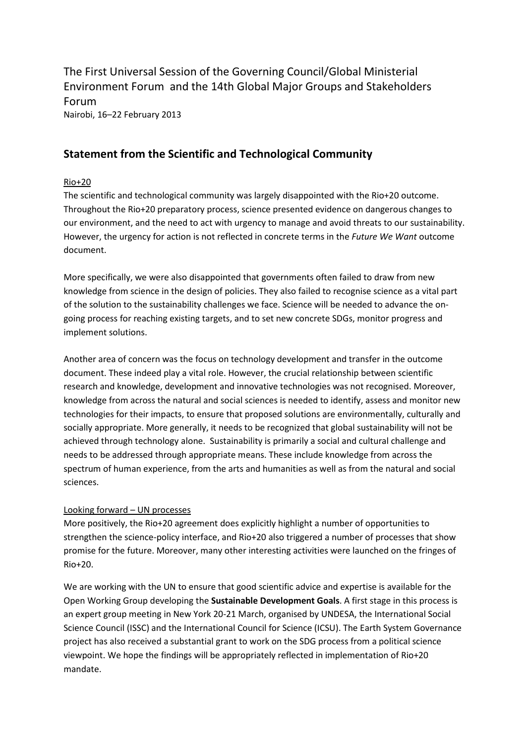[The First Universal Session of the Governing Council/Global Ministerial](http://www.unep.org/gc/gc27/)  [Environment Forum](http://www.unep.org/gc/gc27/) and the 14th Global Major Groups and Stakeholders Forum Nairobi, 16–22 February 2013

## **Statement from the Scientific and Technological Community**

## Rio+20

The scientific and technological community was largely disappointed with the Rio+20 outcome. Throughout the Rio+20 preparatory process, science presented evidence on dangerous changes to our environment, and the need to act with urgency to manage and avoid threats to our sustainability. However, the urgency for action is not reflected in concrete terms in the *Future We Want* outcome document.

More specifically, we were also disappointed that governments often failed to draw from new knowledge from science in the design of policies. They also failed to recognise science as a vital part of the solution to the sustainability challenges we face. Science will be needed to advance the ongoing process for reaching existing targets, and to set new concrete SDGs, monitor progress and implement solutions.

Another area of concern was the focus on technology development and transfer in the outcome document. These indeed play a vital role. However, the crucial relationship between scientific research and knowledge, development and innovative technologies was not recognised. Moreover, knowledge from across the natural and social sciences is needed to identify, assess and monitor new technologies for their impacts, to ensure that proposed solutions are environmentally, culturally and socially appropriate. More generally, it needs to be recognized that global sustainability will not be achieved through technology alone. Sustainability is primarily a social and cultural challenge and needs to be addressed through appropriate means. These include knowledge from across the spectrum of human experience, from the arts and humanities as well as from the natural and social sciences.

## Looking forward – UN processes

More positively, the Rio+20 agreement does explicitly highlight a number of opportunities to strengthen the science-policy interface, and Rio+20 also triggered a number of processes that show promise for the future. Moreover, many other interesting activities were launched on the fringes of Rio+20.

We are working with the UN to ensure that good scientific advice and expertise is available for the Open Working Group developing the **Sustainable Development Goals**. A first stage in this process is an expert group meeting in New York 20-21 March, organised by UNDESA, the International Social Science Council (ISSC) and the International Council for Science (ICSU). The Earth System Governance project has also received a substantial grant to work on the SDG process from a political science viewpoint. We hope the findings will be appropriately reflected in implementation of Rio+20 mandate.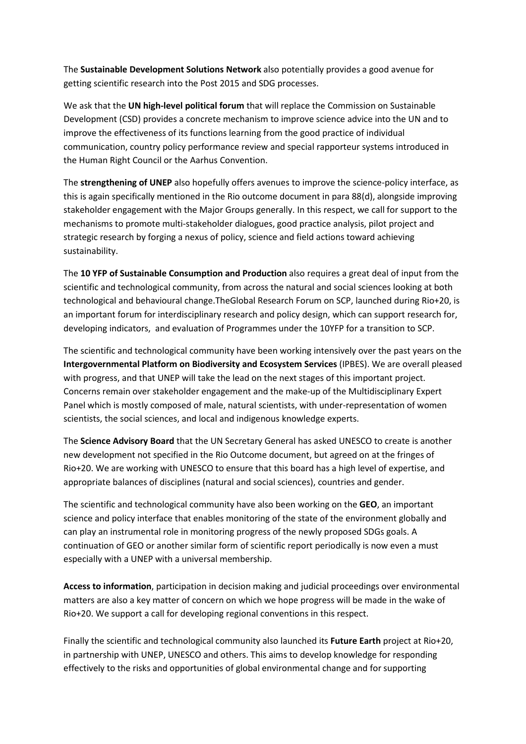The **Sustainable Development Solutions Network** also potentially provides a good avenue for getting scientific research into the Post 2015 and SDG processes.

We ask that the **UN high-level political forum** that will replace the Commission on Sustainable Development (CSD) provides a concrete mechanism to improve science advice into the UN and to improve the effectiveness of its functions learning from the good practice of individual communication, country policy performance review and special rapporteur systems introduced in the Human Right Council or the Aarhus Convention.

The **strengthening of UNEP** also hopefully offers avenues to improve the science-policy interface, as this is again specifically mentioned in the Rio outcome document in para 88(d), alongside improving stakeholder engagement with the Major Groups generally. In this respect, we call for support to the mechanisms to promote multi-stakeholder dialogues, good practice analysis, pilot project and strategic research by forging a nexus of policy, science and field actions toward achieving sustainability.

The **10 YFP of Sustainable Consumption and Production** also requires a great deal of input from the scientific and technological community, from across the natural and social sciences looking at both technological and behavioural change.TheGlobal Research Forum on SCP, launched during Rio+20, is an important forum for interdisciplinary research and policy design, which can support research for, developing indicators, and evaluation of Programmes under the 10YFP for a transition to SCP.

The scientific and technological community have been working intensively over the past years on the **Intergovernmental Platform on Biodiversity and Ecosystem Services** (IPBES). We are overall pleased with progress, and that UNEP will take the lead on the next stages of this important project. Concerns remain over stakeholder engagement and the make-up of the Multidisciplinary Expert Panel which is mostly composed of male, natural scientists, with under-representation of women scientists, the social sciences, and local and indigenous knowledge experts.

The **Science Advisory Board** that the UN Secretary General has asked UNESCO to create is another new development not specified in the Rio Outcome document, but agreed on at the fringes of Rio+20. We are working with UNESCO to ensure that this board has a high level of expertise, and appropriate balances of disciplines (natural and social sciences), countries and gender.

The scientific and technological community have also been working on the **GEO**, an important science and policy interface that enables monitoring of the state of the environment globally and can play an instrumental role in monitoring progress of the newly proposed SDGs goals. A continuation of GEO or another similar form of scientific report periodically is now even a must especially with a UNEP with a universal membership.

**Access to information**, participation in decision making and judicial proceedings over environmental matters are also a key matter of concern on which we hope progress will be made in the wake of Rio+20. We support a call for developing regional conventions in this respect.

Finally the scientific and technological community also launched its **Future Earth** project at Rio+20, in partnership with UNEP, UNESCO and others. This aims to develop knowledge for responding effectively to the risks and opportunities of global environmental change and for supporting